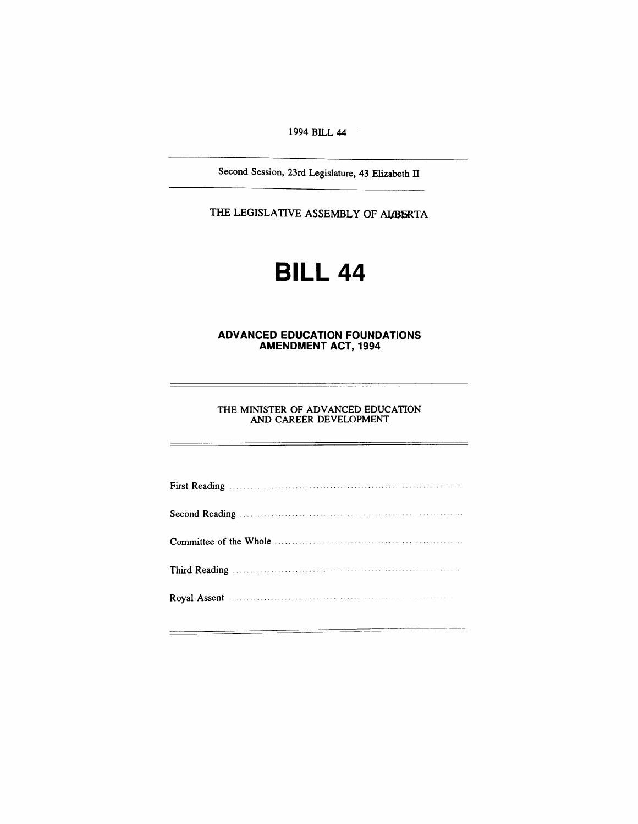1994 BILL 44

Second Session, 23rd Legislature, 43 Elizabeth IT

THE LEGISLATIVE ASSEMBLY OF ALBERTA

# **BILL 44**

#### **ADVANCED EDUCATION FOUNDATIONS AMENDMENT ACT, 1994**

THE MINISTER OF ADVANCED EDUCATION AND CAREER DEVELOPMENT

 $\frac{1}{2} \left( \frac{1}{2} \right) \left( \frac{1}{2} \right) \left( \frac{1}{2} \right) \left( \frac{1}{2} \right) \left( \frac{1}{2} \right) \left( \frac{1}{2} \right) \left( \frac{1}{2} \right) \left( \frac{1}{2} \right) \left( \frac{1}{2} \right) \left( \frac{1}{2} \right) \left( \frac{1}{2} \right) \left( \frac{1}{2} \right) \left( \frac{1}{2} \right) \left( \frac{1}{2} \right) \left( \frac{1}{2} \right) \left( \frac{1}{2} \right) \left( \frac$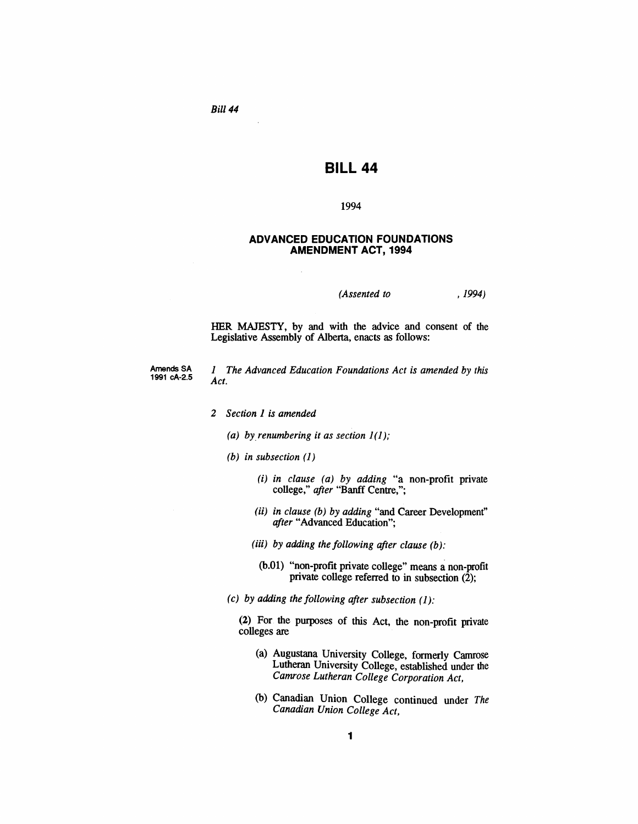*Bill* 44

# **BILL 44**

#### 1994

#### **ADVANCED EDUCATION FOUNDATIONS AMENDMENT ACT, 1994**

*(Assented to* ,1994)

HER MAJESTY, by and with the advice and consent of the Legislative Assembly of Alberta, enacts as follows:

Amends SA 1991 cA-2.5 1 *The Advanced Education Foundations Act is amended by this Act.*

- *2 Section* 1 *is amended*
	- *(a) by.renumbering it as section* 1(1);
	- *(b) in subsection* (1)
		- (i) *in clause (a) by adding* "a non-profit private college," *after* "Banff Centre,";
		- (ii) *in clause (b) by adding* "and Career Development" *after* "Advanced Education";
		- (iii) *by adding the following after clause (b):*
		- (b.01) "non-profit private college" means a non-profit private college referred to in subsection (2);
	- *(c) by adding the following after subsection* (1):

(2) For the purposes of this Act, the non-profit private colleges are

- (a) Augustana University College, formerly Camrose Lutheran University College, established under the *Camrose Lutheran College Corporation Act,*
- (b) Canadian Union College continued under *The Canadian Union College Act,*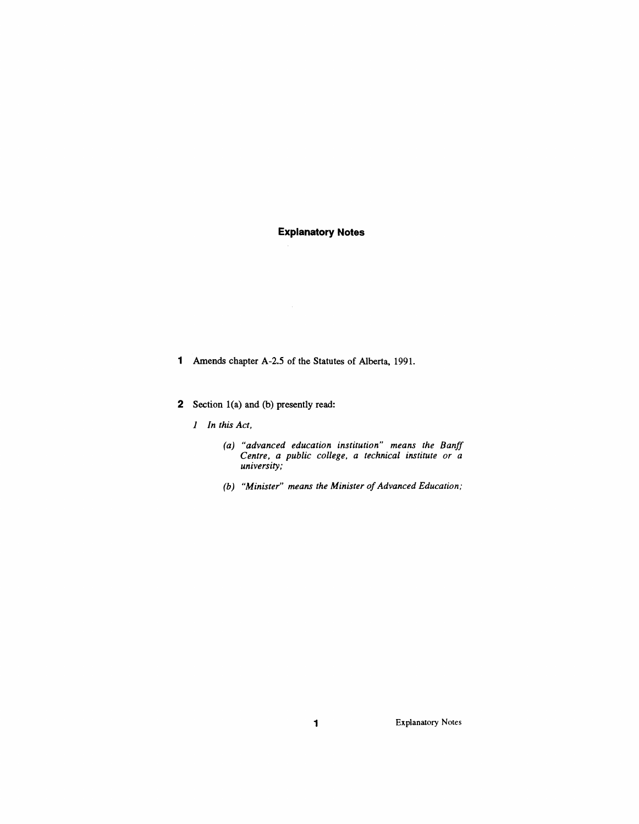## **Explanatory Notes**

- 1 Amends chapter A-2.5 of the Statutes of Alberta, 1991.
- 2 Section 1(a) and (b) presently read:
	- *1 In this Act,*
		- *(a) "advanced education institution" means the Banff Centre, a public college, a technical institute or a university;*
		- *(b) "Minister" means the Minister of Advanced Education;*

1 Explanatory Notes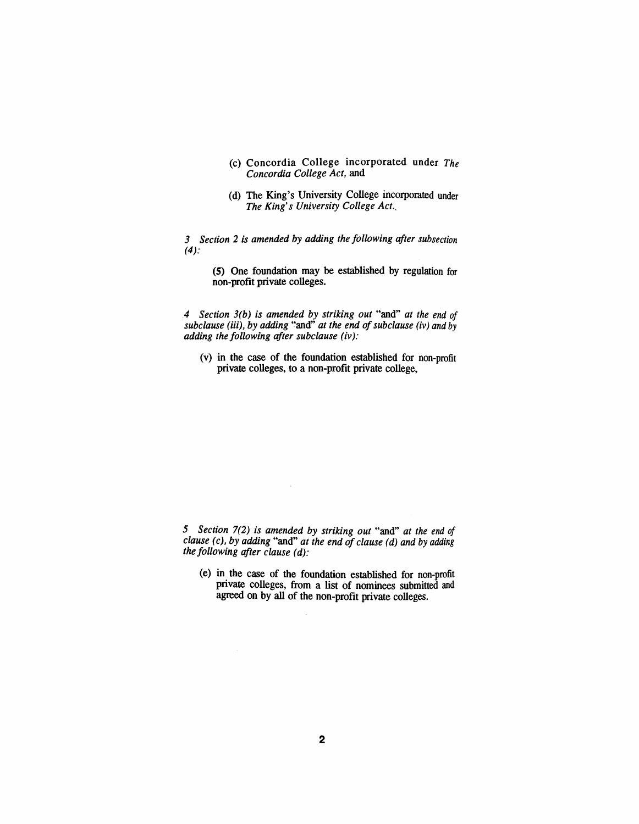- (c) Concordia College incorporated under *The Concordia College Act,* and
- (d) The King's University College incorporated under *The King's University College Act.,*

*3 Section* 2 *is amended by adding the following after subsection*  $(4)$ :

(5) One foundation may be established by regulation for non-profit private colleges.

*4 Section 3(b) is amended by striking out* "and" *at the end of subclause* (iii), *by adding* "and" *at the end ofsubclause (iv) and by adding the following after subclause (iv):*

(v) in the case of the foundation established for non-profit private colleges, to a non-profit private college,

*5 Section* 7(2) *is amended by striking out* "and" *at the end of clause (c), by adding* "and" *at the end of clause (d) and by adding the following after clause (d):*

 $\sim$ 

(e) in the case of the foundation established for non-profit private colleges, from a list of nominees submitted and agreed on by all of the non-profit private colleges.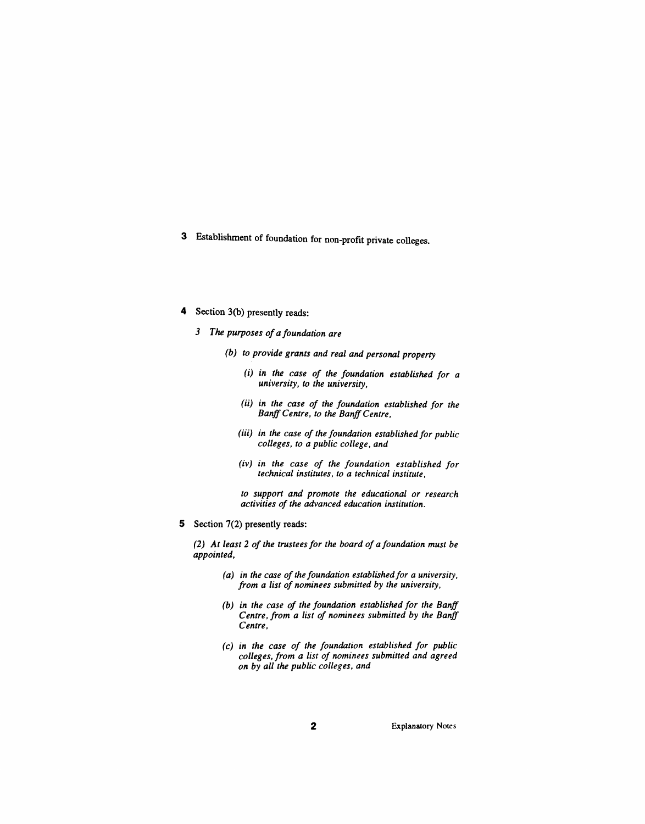- 3 Establishment of foundation for non-profit private colleges.
- 4 Section 3(b) presently reads:
	- *3 The purposes of a foundation are*
		- *(b) to provide grants and real and personal property*
			- *(i) in the case of the foundation established for a university, to the university,*
			- *(ii) in the case of the foundation established for the BanffCentre, to the BanffCentre,*
			- *(iii) in the case of the foundation established for public colleges, to a public college, and*
			- *(iv) in the case of the foundation established for technical institutes, to a technical institute,*
			- *to support and promote the educational or research activities of the advanced education institution.*
- 5 Section 7(2) presently reads:

*(2) At least* 2 *of the trustees for the board of a foundation must be appointed,*

- *(a) in the case ofthe foundation established for a university, from a list of nominees submitted by the university,*
- *(b) in the case of the foundation established for the Banff Centre, from a list of nominees submitted by the Banff Centre,*
- *(c) in the case of the foundation established for public colleges, from a list of nominees submitted and agreed on by all the public colleges, and*

2 Explanatory Notes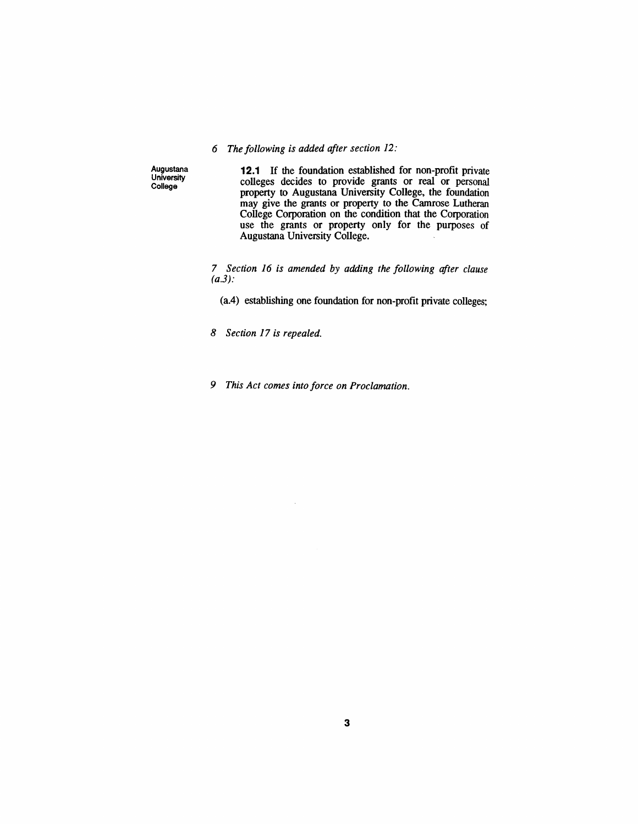## *6 The following is added after section* 12:

Augustana University College

**12.1 If** the foundation established for non-profit private colleges decides to provide grants or real or personal property to Augustana University College, the foundation may give the grants or property to the Camrose Lutheran College Corporation on the condition that the Corporation use the grants or property only for the purposes of Augustana University College.

*7 Section* 16 *is amended by adding the following after clause*  $(a.3)$ :

(aA) establishing one foundation for non-profit private colleges;

*8 Section* 17 *is repealed.*

*9 This Act comes into force on Proclamation.*